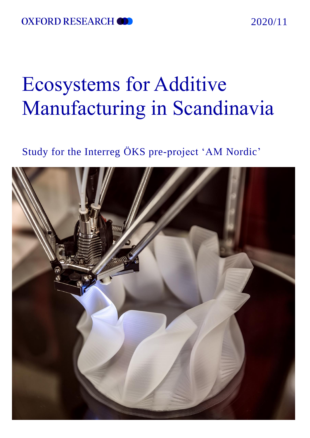### 2020/11

# Ecosystems for Additive Manufacturing in Scandinavia

# Study for the Interreg ÖKS pre-project 'AM Nordic'

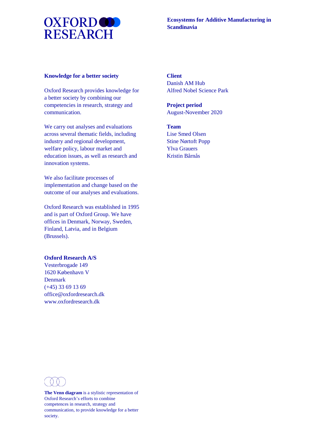

#### **Knowledge for a better society**

Oxford Research provides knowledge for a better society by combining our competencies in research, strategy and communication.

We carry out analyses and evaluations across several thematic fields, including industry and regional development, welfare policy, labour market and education issues, as well as research and innovation systems.

We also facilitate processes of implementation and change based on the outcome of our analyses and evaluations.

Oxford Research was established in 1995 and is part of Oxford Group. We have offices in Denmark, Norway, Sweden, Finland, Latvia, and in Belgium (Brussels).

#### **Oxford Research A/S**

Vesterbrogade 149 1620 København V Denmark (+45) 33 69 13 69 office@oxfordresearch.dk www.oxfordresearch.dk

#### **Client**

Danish AM Hub Alfred Nobel Science Park

**Project period**  August-November 2020

#### **Team**

Lise Smed Olsen Stine Nørtoft Popp Ylva Grauers Kristin Bårnås



**The Venn diagram** is a stylistic representation of Oxford Research's efforts to combine competences in research, strategy and communication, to provide knowledge for a better society.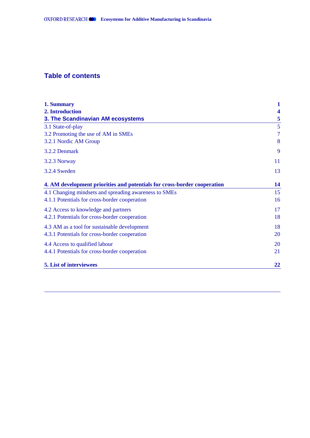### **Table of contents**

| 1. Summary                                                               | 1              |
|--------------------------------------------------------------------------|----------------|
| 2. Introduction                                                          | 4              |
| 3. The Scandinavian AM ecosystems                                        | 5              |
| 3.1 State-of-play                                                        | 5              |
| 3.2 Promoting the use of AM in SMEs                                      | $\overline{7}$ |
| 3.2.1 Nordic AM Group                                                    | 8              |
| 3.2.2 Denmark                                                            | 9              |
| 3.2.3 Norway                                                             | 11             |
| 3.2.4 Sweden                                                             | 13             |
| 4. AM development priorities and potentials for cross-border cooperation | 14             |
| 4.1 Changing mindsets and spreading awareness to SMEs                    | 15             |
| 4.1.1 Potentials for cross-border cooperation                            | 16             |
| 4.2 Access to knowledge and partners                                     | 17             |
| 4.2.1 Potentials for cross-border cooperation                            | 18             |
| 4.3 AM as a tool for sustainable development                             | 18             |
| 4.3.1 Potentials for cross-border cooperation                            | 20             |
| 4.4 Access to qualified labour                                           | 20             |
| 4.4.1 Potentials for cross-border cooperation                            | 21             |
| 5. List of interviewees                                                  | 22             |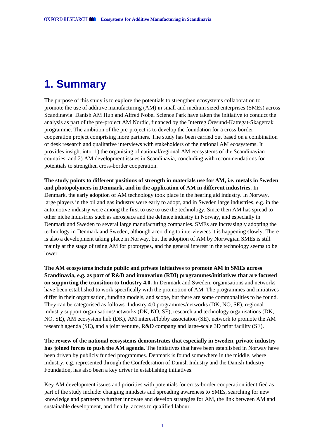# <span id="page-3-0"></span>**1. Summary**

The purpose of this study is to explore the potentials to strengthen ecosystems collaboration to promote the use of additive manufacturing (AM) in small and medium sized enterprises (SMEs) across Scandinavia. Danish AM Hub and Alfred Nobel Science Park have taken the initiative to conduct the analysis as part of the pre-project AM Nordic, financed by the Interreg Öresund-Kattegat-Skagerrak programme. The ambition of the pre-project is to develop the foundation for a cross-border cooperation project comprising more partners. The study has been carried out based on a combination of desk research and qualitative interviews with stakeholders of the national AM ecosystems. It provides insight into: 1) the organising of national/regional AM ecosystems of the Scandinavian countries, and 2) AM development issues in Scandinavia, concluding with recommendations for potentials to strengthen cross-border cooperation.

**The study points to different positions of strength in materials use for AM, i.e. metals in Sweden and photopolymers in Denmark, and in the application of AM in different industries.** In Denmark, the early adoption of AM technology took place in the hearing aid industry. In Norway, large players in the oil and gas industry were early to adopt, and in Sweden large industries, e.g. in the automotive industry were among the first to use to use the technology. Since then AM has spread to other niche industries such as aerospace and the defence industry in Norway, and especially in Denmark and Sweden to several large manufacturing companies. SMEs are increasingly adopting the technology in Denmark and Sweden, although according to interviewees it is happening slowly. There is also a development taking place in Norway, but the adoption of AM by Norwegian SMEs is still mainly at the stage of using AM for prototypes, and the general interest in the technology seems to be lower.

**The AM ecosystems include public and private initiatives to promote AM in SMEs across Scandinavia, e.g. as part of R&D and innovation (RDI) programmes/initiatives that are focused on supporting the transition to Industry 4.0.** In Denmark and Sweden, organisations and networks have been established to work specifically with the promotion of AM. The programmes and initiatives differ in their organisation, funding models, and scope, but there are some commonalities to be found. They can be categorised as follows: Industry 4.0 programmes/networks (DK, NO, SE), regional industry support organisations/networks (DK, NO, SE), research and technology organisations (DK, NO, SE), AM ecosystem hub (DK), AM interest/lobby association (SE), network to promote the AM research agenda (SE), and a joint venture, R&D company and large-scale 3D print facility (SE).

**The review of the national ecosystems demonstrates that especially in Sweden, private industry has joined forces to push the AM agenda.** The initiatives that have been established in Norway have been driven by publicly funded programmes. Denmark is found somewhere in the middle, where industry, e.g. represented through the Confederation of Danish Industry and the Danish Industry Foundation, has also been a key driver in establishing initiatives.

Key AM development issues and priorities with potentials for cross-border cooperation identified as part of the study include: changing mindsets and spreading awareness to SMEs, searching for new knowledge and partners to further innovate and develop strategies for AM, the link between AM and sustainable development, and finally, access to qualified labour.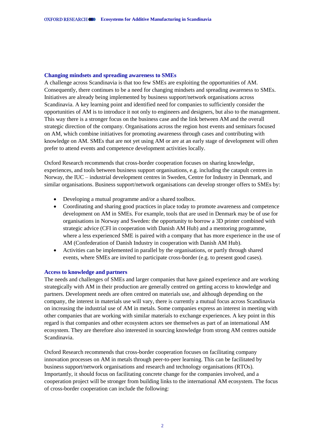#### **Changing mindsets and spreading awareness to SMEs**

A challenge across Scandinavia is that too few SMEs are exploiting the opportunities of AM. Consequently, there continues to be a need for changing mindsets and spreading awareness to SMEs. Initiatives are already being implemented by business support/network organisations across Scandinavia. A key learning point and identified need for companies to sufficiently consider the opportunities of AM is to introduce it not only to engineers and designers, but also to the management. This way there is a stronger focus on the business case and the link between AM and the overall strategic direction of the company. Organisations across the region host events and seminars focused on AM, which combine initiatives for promoting awareness through cases and contributing with knowledge on AM. SMEs that are not yet using AM or are at an early stage of development will often prefer to attend events and competence development activities locally.

Oxford Research recommends that cross-border cooperation focuses on sharing knowledge, experiences, and tools between business support organisations, e.g. including the catapult centres in Norway, the IUC – industrial development centres in Sweden, Centre for Industry in Denmark, and similar organisations. Business support/network organisations can develop stronger offers to SMEs by:

- Developing a mutual programme and/or a shared toolbox.
- Coordinating and sharing good practices in place today to promote awareness and competence development on AM in SMEs. For example, tools that are used in Denmark may be of use for organisations in Norway and Sweden: the opportunity to borrow a 3D printer combined with strategic advice (CFI in cooperation with Danish AM Hub) and a mentoring programme, where a less experienced SME is paired with a company that has more experience in the use of AM (Confederation of Danish Industry in cooperation with Danish AM Hub).
- Activities can be implemented in parallel by the organisations, or partly through shared events, where SMEs are invited to participate cross-border (e.g. to present good cases).

#### **Access to knowledge and partners**

The needs and challenges of SMEs and larger companies that have gained experience and are working strategically with AM in their production are generally centred on getting access to knowledge and partners. Development needs are often centred on materials use, and although depending on the company, the interest in materials use will vary, there is currently a mutual focus across Scandinavia on increasing the industrial use of AM in metals. Some companies express an interest in meeting with other companies that are working with similar materials to exchange experiences. A key point in this regard is that companies and other ecosystem actors see themselves as part of an international AM ecosystem. They are therefore also interested in sourcing knowledge from strong AM centres outside Scandinavia.

Oxford Research recommends that cross-border cooperation focuses on facilitating company innovation processes on AM in metals through peer-to-peer learning. This can be facilitated by business support/network organisations and research and technology organisations (RTOs). Importantly, it should focus on facilitating concrete change for the companies involved, and a cooperation project will be stronger from building links to the international AM ecosystem. The focus of cross-border cooperation can include the following: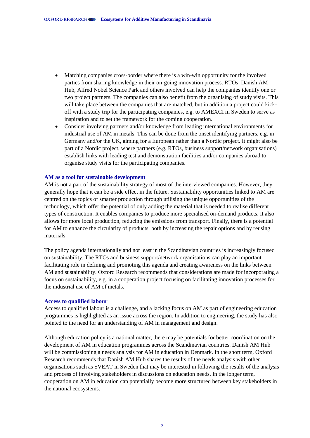- Matching companies cross-border where there is a win-win opportunity for the involved parties from sharing knowledge in their on-going innovation process. RTOs, Danish AM Hub, Alfred Nobel Science Park and others involved can help the companies identify one or two project partners. The companies can also benefit from the organising of study visits. This will take place between the companies that are matched, but in addition a project could kickoff with a study trip for the participating companies, e.g. to AMEXCI in Sweden to serve as inspiration and to set the framework for the coming cooperation.
- Consider involving partners and/or knowledge from leading international environments for industrial use of AM in metals. This can be done from the onset identifying partners, e.g. in Germany and/or the UK, aiming for a European rather than a Nordic project. It might also be part of a Nordic project, where partners (e.g. RTOs, business support/network organisations) establish links with leading test and demonstration facilities and/or companies abroad to organise study visits for the participating companies.

#### **AM as a tool for sustainable development**

AM is not a part of the sustainability strategy of most of the interviewed companies. However, they generally hope that it can be a side effect in the future. Sustainability opportunities linked to AM are centred on the topics of smarter production through utilising the unique opportunities of the technology, which offer the potential of only adding the material that is needed to realise different types of construction. It enables companies to produce more specialised on-demand products. It also allows for more local production, reducing the emissions from transport. Finally, there is a potential for AM to enhance the circularity of products, both by increasing the repair options and by reusing materials.

The policy agenda internationally and not least in the Scandinavian countries is increasingly focused on sustainability. The RTOs and business support/network organisations can play an important facilitating role in defining and promoting this agenda and creating awareness on the links between AM and sustainability. Oxford Research recommends that considerations are made for incorporating a focus on sustainability, e.g. in a cooperation project focusing on facilitating innovation processes for the industrial use of AM of metals.

#### **Access to qualified labour**

Access to qualified labour is a challenge, and a lacking focus on AM as part of engineering education programmes is highlighted as an issue across the region. In addition to engineering, the study has also pointed to the need for an understanding of AM in management and design.

Although education policy is a national matter, there may be potentials for better coordination on the development of AM in education programmes across the Scandinavian countries. Danish AM Hub will be commissioning a needs analysis for AM in education in Denmark. In the short term, Oxford Research recommends that Danish AM Hub shares the results of the needs analysis with other organisations such as SVEAT in Sweden that may be interested in following the results of the analysis and process of involving stakeholders in discussions on education needs. In the longer term, cooperation on AM in education can potentially become more structured between key stakeholders in the national ecosystems.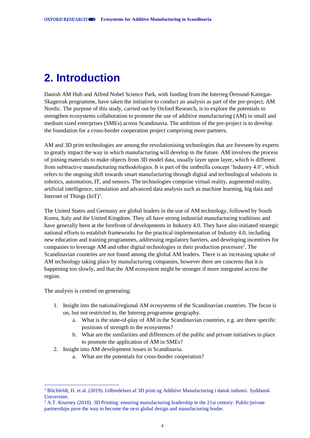# <span id="page-6-0"></span>**2. Introduction**

Danish AM Hub and Alfred Nobel Science Park, with funding from the Interreg Öresund-Kattegat-Skagerrak programme, have taken the initiative to conduct an analysis as part of the pre-project, AM Nordic. The purpose of this study, carried out by Oxford Research, is to explore the potentials to strengthen ecosystems collaboration to promote the use of additive manufacturing (AM) in small and medium sized enterprises (SMEs) across Scandinavia. The ambition of the pre-project is to develop the foundation for a cross-border cooperation project comprising more partners.

AM and 3D print technologies are among the revolutionising technologies that are foreseen by experts to greatly impact the way in which manufacturing will develop in the future. AM involves the process of joining materials to make objects from 3D model data, usually layer upon layer, which is different from subtractive manufacturing methodologies. It is part of the umbrella concept 'Industry 4.0', which refers to the ongoing shift towards smart manufacturing through digital and technological solutions in robotics, automation, IT, and sensors. The technologies comprise virtual reality, augmented reality, artificial intelligence, simulation and advanced data analysis such as machine learning, big data and Internet of Things  $(IoT)^1$ .

The United States and Germany are global leaders in the use of AM technology, followed by South Korea, Italy and the United Kingdom. They all have strong industrial manufacturing traditions and have generally been at the forefront of developments in Industry 4.0. They have also initiated strategic national efforts to establish frameworks for the practical implementation of Industry 4.0, including new education and training programmes, addressing regulatory barriers, and developing incentives for companies to leverage AM and other digital technologies in their production processes<sup>2</sup>. The Scandinavian countries are not found among the global AM leaders. There is an increasing uptake of AM technology taking place by manufacturing companies, however there are concerns that it is happening too slowly, and that the AM ecosystem might be stronger if more integrated across the region.

The analysis is centred on generating:

-

- 1. Insight into the national/regional AM ecosystems of the Scandinavian countries. The focus is on, but not restricted to, the Interreg programme geography.
	- a. What is the state-of-play of AM in the Scandinavian countries, e.g. are there specific positions of strength in the ecosystems?
	- b. What are the similarities and differences of the public and private initiatives in place to promote the application of AM in SMEs?
- 2. Insight into AM development issues in Scandinavia.
	- a. What are the potentials for cross-border cooperation?

<sup>1</sup> Blichfeldt, H. et al. (2019). Udbredelsen af 3D print og Additive Manufacturing i dansk industri. Syddansk Universitet.

<sup>&</sup>lt;sup>2</sup> A.T. Kearney (2018). 3D Printing: ensuring manufacturing leadership in the 21st century: Public/private partnerships pave the way to become the next global design and manufacturing leader.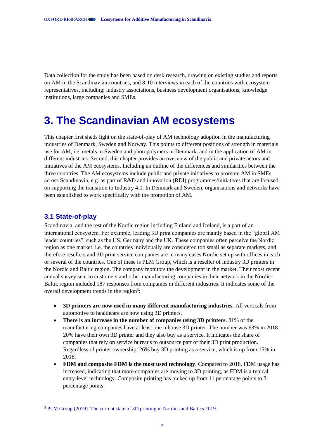Data collection for the study has been based on desk research, drawing on existing studies and reports on AM in the Scandinavian countries, and 8-10 interviews in each of the countries with ecosystem representatives, including: industry associations, business development organisations, knowledge institutions, large companies and SMEs.

# <span id="page-7-0"></span>**3. The Scandinavian AM ecosystems**

This chapter first sheds light on the state-of-play of AM technology adoption in the manufacturing industries of Denmark, Sweden and Norway. This points to different positions of strength in materials use for AM, i.e. metals in Sweden and photopolymers in Denmark, and in the application of AM in different industries. Second, this chapter provides an overview of the public and private actors and initiatives of the AM ecosystems. Including an outline of the differences and similarities between the three countries. The AM ecosystems include public and private initiatives to promote AM in SMEs across Scandinavia, e.g. as part of R&D and innovation (RDI) programmes/initiatives that are focused on supporting the transition to Industry 4.0. In Denmark and Sweden, organisations and networks have been established to work specifically with the promotion of AM.

### <span id="page-7-1"></span>**3.1 State-of-play**

-

Scandinavia, and the rest of the Nordic region including Finland and Iceland, is a part of an international ecosystem. For example, leading 3D print companies are mainly based in the "global AM leader countries", such as the US, Germany and the UK. These companies often perceive the Nordic region as one market, i.e. the countries individually are considered too small as separate markets, and therefore resellers and 3D print service companies are in many cases Nordic set up with offices in each or several of the countries. One of these is PLM Group, which is a reseller of industry 3D printers in the Nordic and Baltic region. The company monitors the development in the market. Their most recent annual survey sent to customers and other manufacturing companies in their network in the Nordic-Baltic region included 187 responses from companies in different industries. It indicates some of the overall development trends in the region<sup>3</sup>:

- **3D printers are now used in many different manufacturing industries**. All verticals from automotive to healthcare are now using 3D printers.
- **There is an increase in the number of companies using 3D printers.** 81% of the manufacturing companies have at least one inhouse 3D printer. The number was 63% in 2018. 20% have their own 3D printer and they also buy as a service. It indicates the share of companies that rely on service bureaus to outsource part of their 3D print production. Regardless of printer ownership, 26% buy 3D printing as a service, which is up from 15% in 2018.
- **FDM and composite FDM is the most used technology**. Compared to 2018, FDM usage has increased, indicating that more companies are moving to 3D printing, as FDM is a typical entry-level technology. Composite printing has picked up from 11 percentage points to 31 percentage points.

<sup>3</sup> PLM Group (2019). The current state of 3D printing in Nordics and Baltics 2019.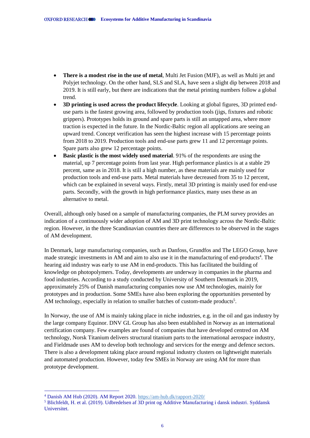- **There is a modest rise in the use of metal**, Multi Jet Fusion (MJF), as well as Multi jet and Polyjet technology. On the other hand, SLS and SLA, have seen a slight dip between 2018 and 2019. It is still early, but there are indications that the metal printing numbers follow a global trend.
- **3D printing is used across the product lifecycle**. Looking at global figures, 3D printed enduse parts is the fastest growing area, followed by production tools (jigs, fixtures and robotic grippers). Prototypes holds its ground and spare parts is still an untapped area, where more traction is expected in the future. In the Nordic-Baltic region all applications are seeing an upward trend. Concept verification has seen the highest increase with 15 percentage points from 2018 to 2019. Production tools and end-use parts grew 11 and 12 percentage points. Spare parts also grew 12 percentage points.
- **Basic plastic is the most widely used material**. 91% of the respondents are using the material, up 7 percentage points from last year. High performance plastics is at a stable 29 percent, same as in 2018. It is still a high number, as these materials are mainly used for production tools and end-use parts. Metal materials have decreased from 35 to 12 percent, which can be explained in several ways. Firstly, metal 3D printing is mainly used for end-use parts. Secondly, with the growth in high performance plastics, many uses these as an alternative to metal.

Overall, although only based on a sample of manufacturing companies, the PLM survey provides an indication of a continuously wider adoption of AM and 3D print technology across the Nordic-Baltic region. However, in the three Scandinavian countries there are differences to be observed in the stages of AM development.

In Denmark, large manufacturing companies, such as Danfoss, Grundfos and The LEGO Group, have made strategic investments in AM and aim to also use it in the manufacturing of end-products<sup>4</sup>. The hearing aid industry was early to use AM in end-products. This has facilitated the building of knowledge on photopolymers. Today, developments are underway in companies in the pharma and food industries. According to a study conducted by University of Southern Denmark in 2019, approximately 25% of Danish manufacturing companies now use AM technologies, mainly for prototypes and in production. Some SMEs have also been exploring the opportunities presented by AM technology, especially in relation to smaller batches of custom-made products<sup>5</sup>.

In Norway, the use of AM is mainly taking place in niche industries, e.g. in the oil and gas industry by the large company Equinor. DNV GL Group has also been established in Norway as an international certification company. Few examples are found of companies that have developed centred on AM technology, Norsk Titanium delivers structural titanium parts to the international aerospace industry, and Fieldmade uses AM to develop both technology and services for the energy and defence sectors. There is also a development taking place around regional industry clusters on lightweight materials and automated production. However, today few SMEs in Norway are using AM for more than prototype development.

-

<sup>4</sup> Danish AM Hub (2020). AM Report 2020.<https://am-hub.dk/rapport-2020/>

<sup>5</sup> Blichfeldt, H. et al. (2019). Udbredelsen af 3D print og Additive Manufacturing i dansk industri. Syddansk Universitet.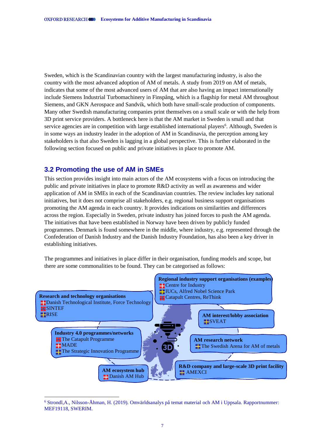Sweden, which is the Scandinavian country with the largest manufacturing industry, is also the country with the most advanced adoption of AM of metals. A study from 2019 on AM of metals, indicates that some of the most advanced users of AM that are also having an impact internationally include Siemens Industrial Turbomachinery in Finspång, which is a flagship for metal AM throughout Siemens, and GKN Aerospace and Sandvik, which both have small-scale production of components. Many other Swedish manufacturing companies print themselves on a small scale or with the help from 3D print service providers. A bottleneck here is that the AM market in Sweden is small and that service agencies are in competition with large established international players<sup>6</sup>. Although, Sweden is in some ways an industry leader in the adoption of AM in Scandinavia, the perception among key stakeholders is that also Sweden is lagging in a global perspective. This is further elaborated in the following section focused on public and private initiatives in place to promote AM.

### <span id="page-9-0"></span>**3.2 Promoting the use of AM in SMEs**

-

This section provides insight into main actors of the AM ecosystems with a focus on introducing the public and private initiatives in place to promote R&D activity as well as awareness and wider application of AM in SMEs in each of the Scandinavian countries. The review includes key national initiatives, but it does not comprise all stakeholders, e.g. regional business support organisations promoting the AM agenda in each country. It provides indications on similarities and differences across the region. Especially in Sweden, private industry has joined forces to push the AM agenda. The initiatives that have been established in Norway have been driven by publicly funded programmes. Denmark is found somewhere in the middle, where industry, e.g. represented through the Confederation of Danish Industry and the Danish Industry Foundation, has also been a key driver in establishing initiatives.

The programmes and initiatives in place differ in their organisation, funding models and scope, but there are some commonalities to be found. They can be categorised as follows:



<sup>6</sup> Strondl,A., Nilsson-Åhman, H. (2019). Omvärldsanalys på temat material och AM i Uppsala. Rapportnummer: MEF19118, SWERIM.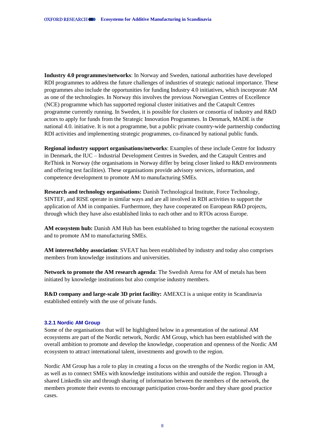**Industry 4.0 programmes/networks**: In Norway and Sweden, national authorities have developed RDI programmes to address the future challenges of industries of strategic national importance. These programmes also include the opportunities for funding Industry 4.0 initiatives, which incorporate AM as one of the technologies. In Norway this involves the previous Norwegian Centres of Excellence (NCE) programme which has supported regional cluster initiatives and the Catapult Centres programme currently running. In Sweden, it is possible for clusters or consortia of industry and R&D actors to apply for funds from the Strategic Innovation Programmes. In Denmark, MADE is the national 4.0. initiative. It is not a programme, but a public private country-wide partnership conducting RDI activities and implementing strategic programmes, co-financed by national public funds.

**Regional industry support organisations/networks**: Examples of these include Centre for Industry in Denmark, the IUC – Industrial Development Centres in Sweden, and the Catapult Centres and ReThink in Norway (the organisations in Norway differ by being closer linked to R&D environments and offering test facilities). These organisations provide advisory services, information, and competence development to promote AM to manufacturing SMEs.

**Research and technology organisations:** Danish Technological Institute, Force Technology, SINTEF, and RISE operate in similar ways and are all involved in RDI activities to support the application of AM in companies. Furthermore, they have cooperated on European R&D projects, through which they have also established links to each other and to RTOs across Europe.

**AM ecosystem hub:** Danish AM Hub has been established to bring together the national ecosystem and to promote AM to manufacturing SMEs.

**AM interest/lobby association**: SVEAT has been established by industry and today also comprises members from knowledge institutions and universities.

**Network to promote the AM research agenda**: The Swedish Arena for AM of metals has been initiated by knowledge institutions but also comprise industry members.

**R&D company and large-scale 3D print facility:** AMEXCI is a unique entity in Scandinavia established entirely with the use of private funds.

#### <span id="page-10-0"></span>**3.2.1 Nordic AM Group**

Some of the organisations that will be highlighted below in a presentation of the national AM ecosystems are part of the Nordic network, Nordic AM Group, which has been established with the overall ambition to promote and develop the knowledge, cooperation and openness of the Nordic AM ecosystem to attract international talent, investments and growth to the region.

Nordic AM Group has a role to play in creating a focus on the strengths of the Nordic region in AM, as well as to connect SMEs with knowledge institutions within and outside the region. Through a shared LinkedIn site and through sharing of information between the members of the network, the members promote their events to encourage participation cross-border and they share good practice cases.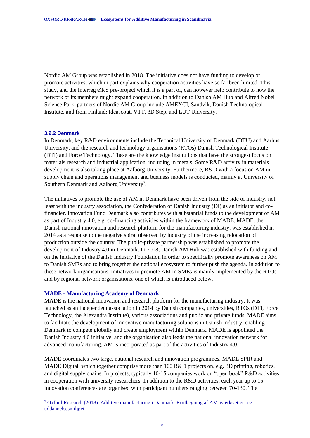Nordic AM Group was established in 2018. The initiative does not have funding to develop or promote activities, which in part explains why cooperation activities have so far been limited. This study, and the Interreg ØKS pre-project which it is a part of, can however help contribute to how the network or its members might expand cooperation. In addition to Danish AM Hub and Alfred Nobel Science Park, partners of Nordic AM Group include AMEXCI, Sandvik, Danish Technological Institute, and from Finland: Ideascout, VTT, 3D Step, and LUT University.

#### <span id="page-11-0"></span>**3.2.2 Denmark**

-

In Denmark, key R&D environments include the Technical University of Denmark (DTU) and Aarhus University, and the research and technology organisations (RTOs) Danish Technological Institute (DTI) and Force Technology. These are the knowledge institutions that have the strongest focus on materials research and industrial application, including in metals. Some R&D activity in materials development is also taking place at Aalborg University. Furthermore, R&D with a focus on AM in supply chain and operations management and business models is conducted, mainly at University of Southern Denmark and Aalborg University<sup>7</sup>.

The initiatives to promote the use of AM in Denmark have been driven from the side of industry, not least with the industry association, the Confederation of Danish Industry (DI) as an initiator and cofinancier. Innovation Fund Denmark also contributes with substantial funds to the development of AM as part of Industry 4.0, e.g. co-financing activities within the framework of MADE. MADE, the Danish national innovation and research platform for the manufacturing industry, was established in 2014 as a response to the negative spiral observed by industry of the increasing relocation of production outside the country. The public-private partnership was established to promote the development of Industry 4.0 in Denmark. In 2018, Danish AM Hub was established with funding and on the initiative of the Danish Industry Foundation in order to specifically promote awareness on AM to Danish SMEs and to bring together the national ecosystem to further push the agenda. In addition to these network organisations, initiatives to promote AM in SMEs is mainly implemented by the RTOs and by regional network organisations, one of which is introduced below.

#### **MADE - Manufacturing Academy of Denmark**

MADE is the national innovation and research platform for the manufacturing industry. It was launched as an independent association in 2014 by Danish companies, universities, RTOs (DTI, Force Technology, the Alexandra Institute), various associations and public and private funds. MADE aims to facilitate the development of innovative manufacturing solutions in Danish industry, enabling Denmark to compete globally and create employment within Denmark. MADE is appointed the Danish Industry 4.0 initiative, and the organisation also leads the national innovation network for advanced manufacturing. AM is incorporated as part of the activities of Industry 4.0.

MADE coordinates two large, national research and innovation programmes, MADE SPIR and MADE Digital, which together comprise more than 100 R&D projects on, e.g. 3D printing, robotics, and digital supply chains. In projects, typically 10-15 companies work on "open book" R&D activities in cooperation with university researchers. In addition to the R&D activities, each year up to 15 innovation conferences are organised with participant numbers ranging between 70-130. The

<sup>7</sup> Oxford Research (2018). Additive manufacturing i Danmark: Kortlægning af AM-iværksætter- og uddannelsesmiljøet.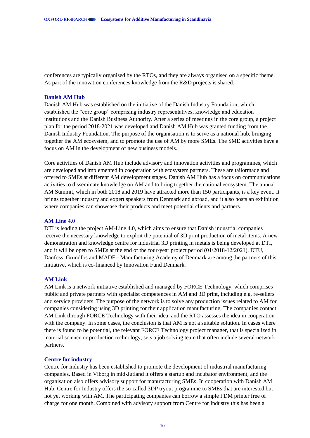conferences are typically organised by the RTOs, and they are always organised on a specific theme. As part of the innovation conferences knowledge from the R&D projects is shared.

#### **Danish AM Hub**

Danish AM Hub was established on the initiative of the Danish Industry Foundation, which established the "core group" comprising industry representatives, knowledge and education institutions and the Danish Business Authority. After a series of meetings in the core group, a project plan for the period 2018-2021 was developed and Danish AM Hub was granted funding from the Danish Industry Foundation. The purpose of the organisation is to serve as a national hub, bringing together the AM ecosystem, and to promote the use of AM by more SMEs. The SME activities have a focus on AM in the development of new business models.

Core activities of Danish AM Hub include advisory and innovation activities and programmes, which are developed and implemented in cooperation with ecosystem partners. These are tailormade and offered to SMEs at different AM development stages. Danish AM Hub has a focus on communications activities to disseminate knowledge on AM and to bring together the national ecosystem. The annual AM Summit, which in both 2018 and 2019 have attracted more than 150 participants, is a key event. It brings together industry and expert speakers from Denmark and abroad, and it also hosts an exhibition where companies can showcase their products and meet potential clients and partners.

#### **AM Line 4.0**

DTI is leading the project AM-Line 4.0, which aims to ensure that Danish industrial companies receive the necessary knowledge to exploit the potential of 3D print production of metal items. A new demonstration and knowledge centre for industrial 3D printing in metals is being developed at DTI, and it will be open to SMEs at the end of the four-year project period (01/2018-12/2021). DTU, Danfoss, Grundfos and MADE - Manufacturing Academy of Denmark are among the partners of this initiative, which is co-financed by Innovation Fund Denmark.

#### **AM Link**

AM Link is a network initiative established and managed by FORCE Technology, which comprises public and private partners with specialist competences in AM and 3D print, including e.g. re-sellers and service providers. The purpose of the network is to solve any production issues related to AM for companies considering using 3D printing for their application manufacturing. The companies contact AM Link through FORCE Technology with their idea, and the RTO assesses the idea in cooperation with the company. In some cases, the conclusion is that AM is not a suitable solution. In cases where there is found to be potential, the relevant FORCE Technology project manager, that is specialized in material science or production technology, sets a job solving team that often include several network partners.

#### **Centre for industry**

Centre for Industry has been established to promote the development of industrial manufacturing companies. Based in Viborg in mid-Jutland it offers a startup and incubator environment, and the organisation also offers advisory support for manufacturing SMEs. In cooperation with Danish AM Hub, Centre for Industry offers the so-called 3DP tryout programme to SMEs that are interested but not yet working with AM. The participating companies can borrow a simple FDM printer free of charge for one month. Combined with advisory support from Centre for Industry this has been a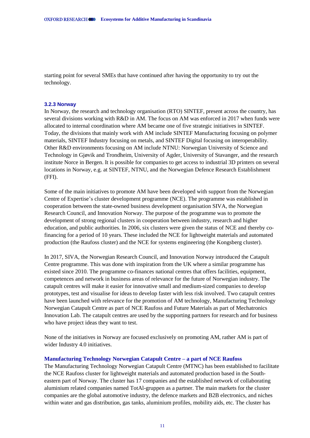starting point for several SMEs that have continued after having the opportunity to try out the technology.

#### <span id="page-13-0"></span>**3.2.3 Norway**

In Norway, the research and technology organisation (RTO) SINTEF, present across the country, has several divisions working with R&D in AM. The focus on AM was enforced in 2017 when funds were allocated to internal coordination where AM became one of five strategic initiatives in SINTEF. Today, the divisions that mainly work with AM include SINTEF Manufacturing focusing on polymer materials, SINTEF Industry focusing on metals, and SINTEF Digital focusing on interoperability. Other R&D environments focusing on AM include NTNU: Norwegian University of Science and Technology in Gjøvik and Trondheim, University of Agder, University of Stavanger, and the research institute Norce in Bergen. It is possible for companies to get access to industrial 3D printers on several locations in Norway, e.g. at SINTEF, NTNU, and the Norwegian Defence Research Establishment (FFI).

Some of the main initiatives to promote AM have been developed with support from the Norwegian Centre of Expertise's cluster development programme (NCE). The programme was established in cooperation between the state-owned business development organisation SIVA, the Norwegian Research Council, and Innovation Norway. The purpose of the programme was to promote the development of strong regional clusters in cooperation between industry, research and higher education, and public authorities. In 2006, six clusters were given the status of NCE and thereby cofinancing for a period of 10 years. These included the NCE for lightweight materials and automated production (the Raufoss cluster) and the NCE for systems engineering (the Kongsberg cluster).

In 2017, SIVA, the Norwegian Research Council, and Innovation Norway introduced the Catapult Centre programme. This was done with inspiration from the UK where a similar programme has existed since 2010. The programme co-finances national centres that offers facilities, equipment, competences and network in business areas of relevance for the future of Norwegian industry. The catapult centres will make it easier for innovative small and medium-sized companies to develop prototypes, test and visualise for ideas to develop faster with less risk involved. Two catapult centres have been launched with relevance for the promotion of AM technology, Manufacturing Technology Norwegian Catapult Centre as part of NCE Raufoss and Future Materials as part of Mechatronics Innovation Lab. The catapult centres are used by the supporting partners for research and for business who have project ideas they want to test.

None of the initiatives in Norway are focused exclusively on promoting AM, rather AM is part of wider Industry 4.0 initiatives.

#### **Manufacturing Technology Norwegian Catapult Centre – a part of NCE Raufoss**

The Manufacturing Technology Norwegian Catapult Centre (MTNC) has been established to facilitate the NCE Raufoss cluster for lightweight materials and automated production based in the Southeastern part of Norway. The cluster has 17 companies and the established network of collaborating aluminium related companies named TotAl-gruppen as a partner. The main markets for the cluster companies are the global automotive industry, the defence markets and B2B electronics, and niches within water and gas distribution, gas tanks, aluminium profiles, mobility aids, etc. The cluster has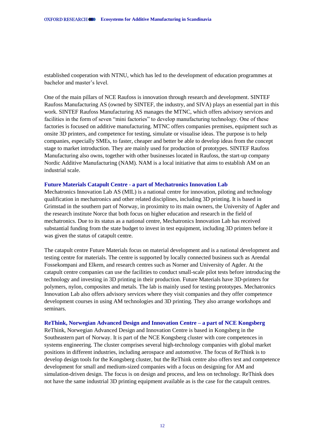established cooperation with NTNU, which has led to the development of education programmes at bachelor and master's level.

One of the main pillars of NCE Raufoss is innovation through research and development. SINTEF Raufoss Manufacturing AS (owned by SINTEF, the industry, and SIVA) plays an essential part in this work. SINTEF Raufoss Manufacturing AS manages the MTNC, which offers advisory services and facilities in the form of seven "mini factories" to develop manufacturing technology. One of these factories is focused on additive manufacturing. MTNC offers companies premises, equipment such as onsite 3D printers, and competence for testing, simulate or visualise ideas. The purpose is to help companies, especially SMEs, to faster, cheaper and better be able to develop ideas from the concept stage to market introduction. They are mainly used for production of prototypes. SINTEF Raufoss Manufacturing also owns, together with other businesses located in Raufoss, the start-up company Nordic Additive Manufacturing (NAM). NAM is a local initiative that aims to establish AM on an industrial scale.

#### **Future Materials Catapult Centre - a part of Mechatronics Innovation Lab**

Mechatronics Innovation Lab AS (MIL) is a national centre for innovation, piloting and technology qualification in mechatronics and other related disciplines, including 3D printing. It is based in Grimstad in the southern part of Norway, in proximity to its main owners, the University of Agder and the research institute Norce that both focus on higher education and research in the field of mechatronics. Due to its status as a national centre, Mechatronics Innovation Lab has received substantial funding from the state budget to invest in test equipment, including 3D printers before it was given the status of catapult centre.

The catapult centre Future Materials focus on material development and is a national development and testing centre for materials. The centre is supported by locally connected business such as Arendal Fossekompani and Elkem, and research centres such as Norner and University of Agder. At the catapult centre companies can use the facilities to conduct small-scale pilot tests before introducing the technology and investing in 3D printing in their production. Future Materials have 3D-printers for polymers, nylon, composites and metals. The lab is mainly used for testing prototypes. Mechatronics Innovation Lab also offers advisory services where they visit companies and they offer competence development courses in using AM technologies and 3D printing. They also arrange workshops and seminars.

#### **ReThink, Norwegian Advanced Design and Innovation Centre – a part of NCE Kongsberg**

ReThink, Norwegian Advanced Design and Innovation Centre is based in Kongsberg in the Southeastern part of Norway. It is part of the NCE Kongsberg cluster with core competences in systems engineering. The cluster comprises several high-technology companies with global market positions in different industries, including aerospace and automotive. The focus of ReThink is to develop design tools for the Kongsberg cluster, but the ReThink centre also offers test and competence development for small and medium-sized companies with a focus on designing for AM and simulation-driven design. The focus is on design and process, and less on technology. ReThink does not have the same industrial 3D printing equipment available as is the case for the catapult centres.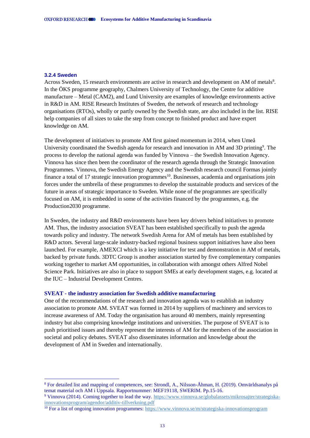#### <span id="page-15-0"></span>**3.2.4 Sweden**

-

Across Sweden, 15 research environments are active in research and development on AM of metals<sup>8</sup>. In the ÖKS programme geography, Chalmers University of Technology, the Centre for additive manufacture – Metal (CAM2), and Lund University are examples of knowledge environments active in R&D in AM. RISE Research Institutes of Sweden, the network of research and technology organisations (RTOs), wholly or partly owned by the Swedish state, are also included in the list. RISE help companies of all sizes to take the step from concept to finished product and have expert knowledge on AM.

The development of initiatives to promote AM first gained momentum in 2014, when Umeå University coordinated the Swedish agenda for research and innovation in AM and 3D printing<sup>9</sup>. The process to develop the national agenda was funded by Vinnova – the Swedish Innovation Agency. Vinnova has since then been the coordinator of the research agenda through the Strategic Innovation Programmes. Vinnova, the Swedish Energy Agency and the Swedish research council Formas jointly finance a total of 17 strategic innovation programmes<sup>10</sup>. Businesses, academia and organisations join forces under the umbrella of these programmes to develop the sustainable products and services of the future in areas of strategic importance to Sweden. While none of the programmes are specifically focused on AM, it is embedded in some of the activities financed by the programmes, e.g. the Production2030 programme.

In Sweden, the industry and R&D environments have been key drivers behind initiatives to promote AM. Thus, the industry association SVEAT has been established specifically to push the agenda towards policy and industry. The network Swedish Arena for AM of metals has been established by R&D actors. Several large-scale industry-backed regional business support initiatives have also been launched. For example, AMEXCI which is a key initiative for test and demonstration in AM of metals, backed by private funds. 3DTC Group is another association started by five complementary companies working together to market AM opportunities, in collaboration with amongst others Alfred Nobel Science Park. Initiatives are also in place to support SMEs at early development stages, e.g. located at the IUC – Industrial Development Centres.

#### **SVEAT - the industry association for Swedish additive manufacturing**

One of the recommendations of the research and innovation agenda was to establish an industry association to promote AM. SVEAT was formed in 2014 by suppliers of machinery and services to increase awareness of AM. Today the organisation has around 40 members, mainly representing industry but also comprising knowledge institutions and universities. The purpose of SVEAT is to push prioritised issues and thereby represent the interests of AM for the members of the association in societal and policy debates. SVEAT also disseminates information and knowledge about the development of AM in Sweden and internationally.

<sup>8</sup> For detailed list and mapping of competences, see: Strondl, A., Nilsson-Åhman, H. (2019). Omvärldsanalys på temat material och AM i Uppsala. Rapportnummer: MEF19118, SWERIM. Pp.15-16.

<sup>9</sup> Vinnova (2014). Coming together to lead the way. [https://www.vinnova.se/globalassets/mikrosajter/strategiska](https://www.vinnova.se/globalassets/mikrosajter/strategiska-innovationsprogram/agendor/additiv-tillverkning.pdf)[innovationsprogram/agendor/additiv-tillverkning.pdf](https://www.vinnova.se/globalassets/mikrosajter/strategiska-innovationsprogram/agendor/additiv-tillverkning.pdf) 

<sup>&</sup>lt;sup>10</sup> For a list of ongoing innovation programmes:<https://www.vinnova.se/m/strategiska-innovationsprogram>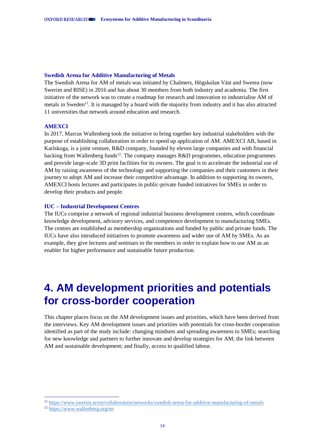#### **Swedish Arena for Additive Manufacturing of Metals**

The Swedish Arena for AM of metals was initiated by Chalmers, Högskolan Väst and Swerea (now Swerim and RISE) in 2016 and has about 30 members from both industry and academia. The first initiative of the network was to create a roadmap for research and innovation to industrialise AM of metals in Sweden<sup>11</sup>. It is managed by a board with the majority from industry and it has also attracted 11 universities that network around education and research.

#### **AMEXCI**

In 2017, Marcus Wallenberg took the initiative to bring together key industrial stakeholders with the purpose of establishing collaboration in order to speed up application of AM. AMEXCI AB, based in Karlskoga, is a joint venture, R&D company, founded by eleven large companies and with financial backing from Wallenberg funds<sup>12</sup>. The company manages R&D programmes, education programmes and provide large-scale 3D print facilities for its owners. The goal is to accelerate the industrial use of AM by raising awareness of the technology and supporting the companies and their customers in their journey to adopt AM and increase their competitive advantage. In addition to supporting its owners, AMEXCI hosts lectures and participates in public-private funded initiatives for SMEs in order to develop their products and people.

#### **IUC – Industrial Development Centres**

The IUCs comprise a network of regional industrial business development centres, which coordinate knowledge development, advisory services, and competence development to manufacturing SMEs. The centres are established as membership organisations and funded by public and private funds. The IUCs have also introduced initiatives to promote awareness and wider use of AM by SMEs. As an example, they give lectures and seminars to the members in order to explain how to use AM as an enabler for higher performance and sustainable future production.

# <span id="page-16-0"></span>**4. AM development priorities and potentials for cross-border cooperation**

This chapter places focus on the AM development issues and priorities, which have been derived from the interviews. Key AM development issues and priorities with potentials for cross-border cooperation identified as part of the study include: changing mindsets and spreading awareness to SMEs; searching for new knowledge and partners to further innovate and develop strategies for AM; the link between AM and sustainable development; and finally, access to qualified labour.

-

<sup>11</sup> <https://www.swerim.se/en/collaboration/networks/swedish-arena-for-additive-manufacturing-of-metals>

<sup>12</sup> <https://www.wallenberg.org/en>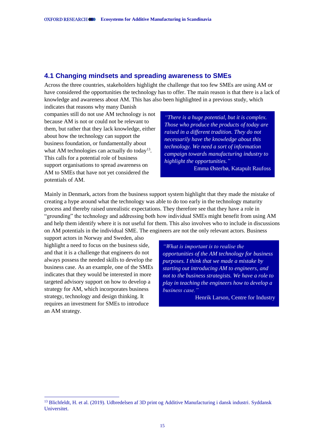### <span id="page-17-0"></span>**4.1 Changing mindsets and spreading awareness to SMEs**

Across the three countries, stakeholders highlight the challenge that too few SMEs are using AM or have considered the opportunities the technology has to offer. The main reason is that there is a lack of knowledge and awareness about AM. This has also been highlighted in a previous study, which indicates that reasons why many Danish

companies still do not use AM technology is not because AM is not or could not be relevant to them, but rather that they lack knowledge, either about how the technology can support the business foundation, or fundamentally about what AM technologies can actually do today<sup>13</sup>. This calls for a potential role of business support organisations to spread awareness on AM to SMEs that have not yet considered the potentials of AM.

*"There is a huge potential, but it is complex. Those who produce the products of today are raised in a different tradition. They do not necessarily have the knowledge about this technology. We need a sort of information campaign towards manufacturing industry to highlight the opportunities."* Emma Østerbø, Katapult Raufoss

Mainly in Denmark, actors from the business support system highlight that they made the mistake of creating a hype around what the technology was able to do too early in the technology maturity process and thereby raised unrealistic expectations. They therefore see that they have a role in "grounding" the technology and addressing both how individual SMEs might benefit from using AM and help them identify where it is not useful for them. This also involves who to include in discussions on AM potentials in the individual SME. The engineers are not the only relevant actors. Business

support actors in Norway and Sweden, also highlight a need to focus on the business side, and that it is a challenge that engineers do not always possess the needed skills to develop the business case. As an example, one of the SMEs indicates that they would be interested in more targeted advisory support on how to develop a strategy for AM, which incorporates business strategy, technology and design thinking. It requires an investment for SMEs to introduce an AM strategy.

-

*"What is important is to realise the opportunities of the AM technology for business purposes. I think that we made a mistake by starting out introducing AM to engineers, and not to the business strategists. We have a role to play in teaching the engineers how to develop a business case."*

Henrik Larson, Centre for Industry

<sup>&</sup>lt;sup>13</sup> Blichfeldt, H. et al. (2019). Udbredelsen af 3D print og Additive Manufacturing i dansk industri. Syddansk Universitet.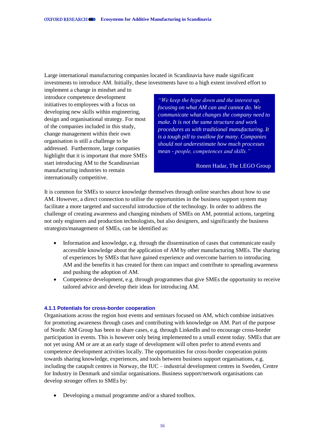Large international manufacturing companies located in Scandinavia have made significant investments to introduce AM. Initially, these investments have to a high extent involved effort to

implement a change in mindset and to introduce competence development initiatives to employees with a focus on developing new skills within engineering, design and organisational strategy. For most of the companies included in this study, change management within their own organisation is still a challenge to be addressed. Furthermore, large companies highlight that it is important that more SMEs start introducing AM to the Scandinavian manufacturing industries to remain internationally competitive.

*"We keep the hype down and the interest up, focusing on what AM can and cannot do. We communicate what changes the company need to make. It is not the same structure and work procedures as with traditional manufacturing. It is a tough pill to swallow for many. Companies should not underestimate how much processes mean - people, competences and skills."*

#### Ronen Hadar, The LEGO Group

It is common for SMEs to source knowledge themselves through online searches about how to use AM. However, a direct connection to utilise the opportunities in the business support system may facilitate a more targeted and successful introduction of the technology. In order to address the challenge of creating awareness and changing mindsets of SMEs on AM, potential actions, targeting not only engineers and production technologists, but also designers, and significantly the business strategists/management of SMEs, can be identified as:

- Information and knowledge, e.g. through the dissemination of cases that communicate easily accessible knowledge about the application of AM by other manufacturing SMEs. The sharing of experiences by SMEs that have gained experience and overcome barriers to introducing AM and the benefits it has created for them can impact and contribute to spreading awareness and pushing the adoption of AM.
- Competence development, e.g. through programmes that give SMEs the opportunity to receive tailored advice and develop their ideas for introducing AM.

#### <span id="page-18-0"></span>**4.1.1 Potentials for cross-border cooperation**

Organisations across the region host events and seminars focused on AM, which combine initiatives for promoting awareness through cases and contributing with knowledge on AM. Part of the purpose of Nordic AM Group has been to share cases, e.g. through LinkedIn and to encourage cross-border participation in events. This is however only being implemented to a small extent today. SMEs that are not yet using AM or are at an early stage of development will often prefer to attend events and competence development activities locally. The opportunities for cross-border cooperation points towards sharing knowledge, experiences, and tools between business support organisations, e.g. including the catapult centres in Norway, the IUC – industrial development centres in Sweden, Centre for Industry in Denmark and similar organisations. Business support/network organisations can develop stronger offers to SMEs by:

• Developing a mutual programme and/or a shared toolbox.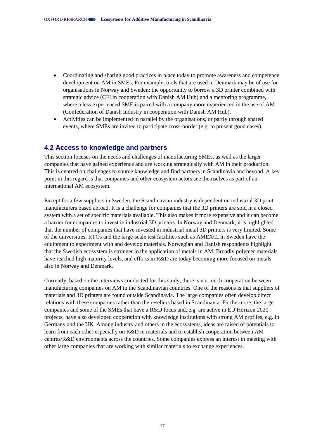- Coordinating and sharing good practices in place today to promote awareness and competence development on AM in SMEs. For example, tools that are used in Denmark may be of use for organisations in Norway and Sweden: the opportunity to borrow a 3D printer combined with strategic advice (CFI in cooperation with Danish AM Hub) and a mentoring programme, where a less experienced SME is paired with a company more experienced in the use of AM (Confederation of Danish Industry in cooperation with Danish AM Hub).
- Activities can be implemented in parallel by the organisations, or partly through shared events, where SMEs are invited to participate cross-border (e.g. to present good cases).

### <span id="page-19-0"></span>**4.2 Access to knowledge and partners**

This section focuses on the needs and challenges of manufacturing SMEs, as well as the larger companies that have gained experience and are working strategically with AM in their production. This is centred on challenges to source knowledge and find partners in Scandinavia and beyond. A key point in this regard is that companies and other ecosystem actors see themselves as part of an international AM ecosystem.

Except for a few suppliers in Sweden, the Scandinavian industry is dependent on industrial 3D print manufacturers based abroad. It is a challenge for companies that the 3D printers are sold in a closed system with a set of specific materials available. This also makes it more expensive and it can become a barrier for companies to invest in industrial 3D printers. In Norway and Denmark, it is highlighted that the number of companies that have invested in industrial metal 3D printers is very limited. Some of the universities, RTOs and the large-scale test facilities such as AMEXCI in Sweden have the equipment to experiment with and develop materials. Norwegian and Danish respondents highlight that the Swedish ecosystem is stronger in the application of metals in AM. Broadly polymer materials have reached high maturity levels, and efforts in R&D are today becoming more focused on metals also in Norway and Denmark.

Currently, based on the interviews conducted for this study, there is not much cooperation between manufacturing companies on AM in the Scandinavian countries. One of the reasons is that suppliers of materials and 3D printers are found outside Scandinavia. The large companies often develop direct relations with these companies rather than the resellers based in Scandinavia. Furthermore, the large companies and some of the SMEs that have a R&D focus and, e.g. are active in EU Horizon 2020 projects, have also developed cooperation with knowledge institutions with strong AM profiles, e.g. in Germany and the UK. Among industry and others in the ecosystems, ideas are raised of potentials to learn from each other especially on R&D in materials and to establish cooperation between AM centres/R&D environments across the countries. Some companies express an interest in meeting with other large companies that are working with similar materials to exchange experiences.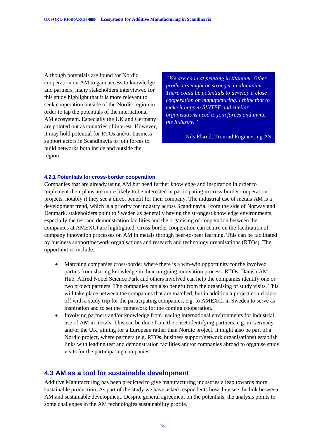Although potentials are found for Nordic cooperation on AM to gain access to knowledge and partners, many stakeholders interviewed for this study highlight that it is more relevant to seek cooperation outside of the Nordic region in order to tap the potentials of the international AM ecosystem. Especially the UK and Germany are pointed out as countries of interest. However, it may hold potential for RTOs and/or business support actors in Scandinavia to join forces to build networks both inside and outside the region.

*"We are good at printing in titanium. Other producers might be stronger in aluminum. There could be potentials to develop a close cooperation on manufacturing. I think that to make it happen SINTEF and similar organisations need to join forces and invite the industry."*

Nils Elsrud, Tronrud Engineering AS

#### <span id="page-20-0"></span>**4.2.1 Potentials for cross-border cooperation**

Companies that are already using AM but need further knowledge and inspiration in order to implement their plans are more likely to be interested in participating in cross-border cooperation projects, notably if they see a direct benefit for their company. The industrial use of metals AM is a development trend, which is a priority for industry across Scandinavia. From the side of Norway and Denmark, stakeholders point to Sweden as generally having the strongest knowledge environments, especially the test and demonstration facilities and the organising of cooperation between the companies at AMEXCI are highlighted. Cross-border cooperation can centre on the facilitation of company innovation processes on AM in metals through peer-to-peer learning. This can be facilitated by business support/network organisations and research and technology organisations (RTOs). The opportunities include:

- Matching companies cross-border where there is a win-win opportunity for the involved parties from sharing knowledge in their on-going innovation process. RTOs, Danish AM Hub, Alfred Nobel Science Park and others involved can help the companies identify one or two project partners. The companies can also benefit from the organising of study visits. This will take place between the companies that are matched, but in addition a project could kickoff with a study trip for the participating companies, e.g. to AMEXCI in Sweden to serve as inspiration and to set the framework for the coming cooperation.
- Involving partners and/or knowledge from leading international environments for industrial use of AM in metals. This can be done from the onset identifying partners, e.g. in Germany and/or the UK, aiming for a European rather than Nordic project. It might also be part of a Nordic project, where partners (e.g. RTOs, business support/network organisations) establish links with leading test and demonstration facilities and/or companies abroad to organise study visits for the participating companies.

### <span id="page-20-1"></span>**4.3 AM as a tool for sustainable development**

Additive Manufacturing has been predicted to give manufacturing industries a leap towards more sustainable production. As part of the study we have asked respondents how they see the link between AM and sustainable development. Despite general agreement on the potentials, the analysis points to some challenges in the AM technologies sustainability profile.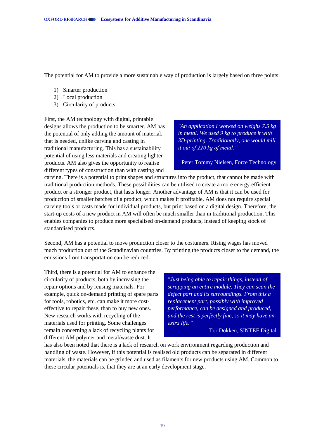The potential for AM to provide a more sustainable way of production is largely based on three points:

- 1) Smarter production
- 2) Local production
- 3) Circularity of products

First, the AM technology with digital, printable designs allows the production to be smarter. AM has the potential of only adding the amount of material, that is needed, unlike carving and casting in traditional manufacturing. This has a sustainability potential of using less materials and creating lighter products. AM also gives the opportunity to realise different types of construction than with casting and

*"An application I worked on weighs 7.5 kg in metal. We used 9 kg to produce it with 3D-printing. Traditionally, one would mill it out of 220 kg of metal."*

Peter Tommy Nielsen, Force Technology

carving. There is a potential to print shapes and structures into the product, that cannot be made with traditional production methods. These possibilities can be utilised to create a more energy efficient product or a stronger product, that lasts longer. Another advantage of AM is that it can be used for production of smaller batches of a product, which makes it profitable. AM does not require special carving tools or casts made for individual products, but print based on a digital design. Therefore, the start-up costs of a new product in AM will often be much smaller than in traditional production. This enables companies to produce more specialised on-demand products, instead of keeping stock of standardised products.

Second, AM has a potential to move production closer to the costumers. Rising wages has moved much production out of the Scandinavian countries. By printing the products closer to the demand, the emissions from transportation can be reduced.

Third, there is a potential for AM to enhance the circularity of products, both by increasing the repair options and by reusing materials. For example, quick on-demand printing of spare parts for tools, robotics, etc. can make it more costeffective to repair these, than to buy new ones. New research works with recycling of the materials used for printing. Some challenges remain concerning a lack of recycling plants for different AM polymer and metal/waste dust. It

*"Just being able to repair things, instead of scrapping an entire module. They can scan the defect part and its surroundings. From this a replacement part, possibly with improved performance, can be designed and produced, and the rest is perfectly fine, so it may have an extra life."*

Tor Dokken, SINTEF Digital

has also been noted that there is a lack of research on work environment regarding production and handling of waste. However, if this potential is realised old products can be separated in different materials, the materials can be grinded and used as filaments for new products using AM. Common to these circular potentials is, that they are at an early development stage.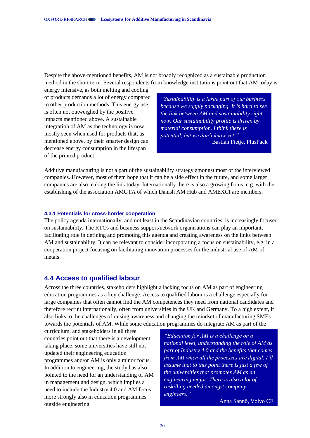Despite the above-mentioned benefits, AM is not broadly recognized as a sustainable production method in the short term. Several respondents from knowledge institutions point out that AM today is

energy intensive, as both melting and cooling of products demands a lot of energy compared to other production methods. This energy use is often not outweighed by the positive impacts mentioned above. A sustainable integration of AM as the technology is now mostly seen when used for products that, as mentioned above, by their smarter design can decrease energy consumption in the lifespan of the printed product.

*"Sustainability is a large part of our business because we supply packaging. It is hard to see the link between AM and sustainability right now. Our sustainability profile is driven by material consumption. I think there is potential, but we don't know yet."* Bastian Fietje, PlusPack

Additive manufacturing is not a part of the sustainability strategy amongst most of the interviewed companies. However, most of them hope that it can be a side effect in the future, and some larger companies are also making the link today. Internationally there is also a growing focus, e.g. with the establishing of the association AMGTA of which Danish AM Hub and AMEXCI are members.

#### <span id="page-22-0"></span>**4.3.1 Potentials for cross-border cooperation**

The policy agenda internationally, and not least in the Scandinavian countries, is increasingly focused on sustainability. The RTOs and business support/network organisations can play an important, facilitating role in defining and promoting this agenda and creating awareness on the links between AM and sustainability. It can be relevant to consider incorporating a focus on sustainability, e.g. in a cooperation project focusing on facilitating innovation processes for the industrial use of AM of metals.

### <span id="page-22-1"></span>**4.4 Access to qualified labour**

Across the three countries, stakeholders highlight a lacking focus on AM as part of engineering education programmes as a key challenge. Access to qualified labour is a challenge especially for large companies that often cannot find the AM competences they need from national candidates and therefore recruit internationally, often from universities in the UK and Germany. To a high extent, it also links to the challenges of raising awareness and changing the mindset of manufacturing SMEs towards the potentials of AM. While some education programmes do integrate AM as part of the

curriculum, and stakeholders in all three countries point out that there is a development taking place, some universities have still not updated their engineering education programmes and/or AM is only a minor focus. In addition to engineering, the study has also pointed to the need for an understanding of AM in management and design, which implies a need to include the Industry 4.0 and AM focus more strongly also in education programmes outside engineering.

*"Education for AM is a challenge on a national level, understanding the role of AM as part of Industry 4.0 and the benefits that comes from AM when all the processes are digital. I'll assume that to this point there is just a few of the universities that promotes AM as an engineering major. There is also a lot of reskilling needed amongst company engineers."* 

Anna Sannö, Volvo CE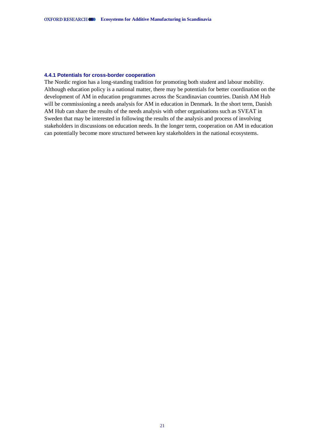#### <span id="page-23-0"></span>**4.4.1 Potentials for cross-border cooperation**

The Nordic region has a long-standing tradition for promoting both student and labour mobility. Although education policy is a national matter, there may be potentials for better coordination on the development of AM in education programmes across the Scandinavian countries. Danish AM Hub will be commissioning a needs analysis for AM in education in Denmark. In the short term, Danish AM Hub can share the results of the needs analysis with other organisations such as SVEAT in Sweden that may be interested in following the results of the analysis and process of involving stakeholders in discussions on education needs. In the longer term, cooperation on AM in education can potentially become more structured between key stakeholders in the national ecosystems.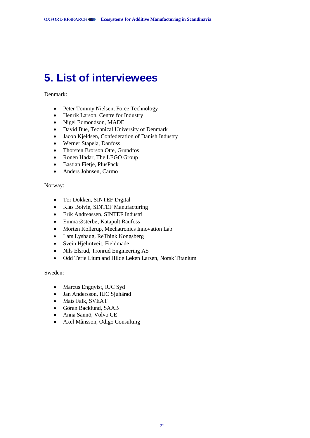# <span id="page-24-0"></span>**5. List of interviewees**

Denmark:

- Peter Tommy Nielsen, Force Technology
- Henrik Larson, Centre for Industry
- Nigel Edmondson, MADE
- David Bue, Technical University of Denmark
- Jacob Kjeldsen, Confederation of Danish Industry
- Werner Stapela, Danfoss
- Thorsten Brorson Otte, Grundfos
- Ronen Hadar, The LEGO Group
- Bastian Fietje, PlusPack
- Anders Johnsen, Carmo

Norway:

- Tor Dokken, SINTEF Digital
- Klas Boivie, SINTEF Manufacturing
- Erik Andreassen, SINTEF Industri
- Emma Østerbø, Katapult Raufoss
- Morten Kollerup, Mechatronics Innovation Lab
- Lars Lyshaug, ReThink Kongsberg
- Svein Hjelmtveit, Fieldmade
- Nils Elsrud, Tronrud Engineering AS
- Odd Terje Lium and Hilde Løken Larsen, Norsk Titanium

Sweden:

- Marcus Engqvist, IUC Syd
- Jan Andersson, IUC Sjuhärad
- Mats Falk, SVEAT
- Göran Backlund, SAAB
- Anna Sannö, Volvo CE
- Axel Månsson, Odigo Consulting